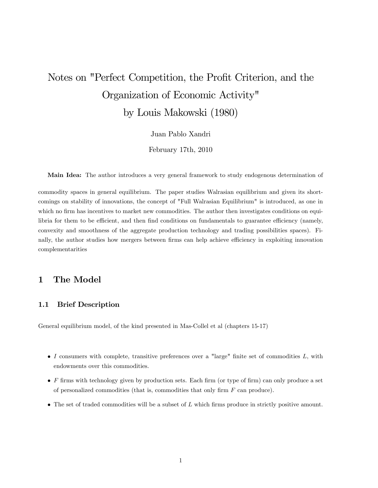# Notes on "Perfect Competition, the Profit Criterion, and the Organization of Economic Activity" by Louis Makowski (1980)

Juan Pablo Xandri

February 17th, 2010

Main Idea: The author introduces a very general framework to study endogenous determination of

commodity spaces in general equilibrium. The paper studies Walrasian equilibrium and given its shortcomings on stability of innovations, the concept of "Full Walrasian Equilibrium" is introduced, as one in which no firm has incentives to market new commodities. The author then investigates conditions on equilibria for them to be efficient, and then find conditions on fundamentals to guarantee efficiency (namely, convexity and smoothness of the aggregate production technology and trading possibilities spaces). Finally, the author studies how mergers between firms can help achieve efficiency in exploiting innovation complementarities

## 1 The Model

## 1.1 Brief Description

General equilibrium model, of the kind presented in Mas-Collel et al (chapters 15-17)

- $\bullet$  I consumers with complete, transitive preferences over a "large" finite set of commodities  $L$ , with endowments over this commodities.
- $\bullet$  F firms with technology given by production sets. Each firm (or type of firm) can only produce a set of personalized commodities (that is, commodities that only firm  $F$  can produce).
- $\bullet$  The set of traded commodities will be a subset of L which firms produce in strictly positive amount.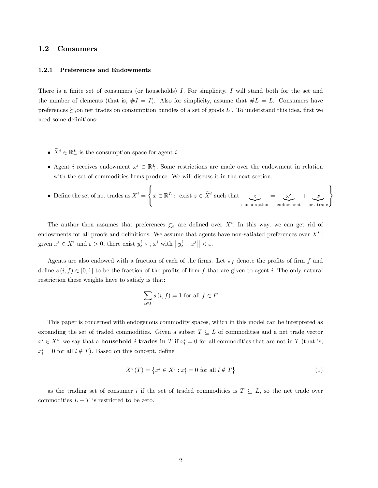## 1.2 Consumers

#### 1.2.1 Preferences and Endowments

There is a finite set of consumers (or households) I. For simplicity, I will stand both for the set and the number of elements (that is,  $#I = I$ ). Also for simplicity, assume that  $#L = L$ . Consumers have preferences  $\sum_i$ on net trades on consumption bundles of a set of goods L. To understand this idea, first we need some definitions:

- $\widetilde{X}^i \in \mathbb{R}_+^L$  is the consumption space for agent i
- Agent *i* receives endowment  $\omega^i \in \mathbb{R}^L_+$ . Some restrictions are made over the endowment in relation with the set of commodities firms produce. We will discuss it in the next section.
- Define the set of net trades as  $X^i$  =  $\sqrt{2}$  $\frac{1}{2}$  $\mathbf{I}$  $x \in \mathbb{R}^L$ : exist  $z \in \tilde{X}^i$  such that  $z$ consumption  $=$   $\alpha^{i}$ |{z} endowment  $+$ , x |{z} net trade  $\mathbf{A}$  $\mathbf{I}$  $\left| \right|$

The author then assumes that preferences  $\succsim_i$  are defined over  $X^i$ . In this way, we can get rid of endowments for all proofs and definitions. We assume that agents have non-satiated preferences over  $X^i$ : given  $x^i \in X^i$  and  $\varepsilon > 0$ , there exist  $y^i_{\varepsilon} \succ_i x^i$  with  $||y^i_{\varepsilon} - x^i|| < \varepsilon$ .

Agents are also endowed with a fraction of each of the firms. Let  $\pi_f$  denote the profits of firm f and define  $s(i, f) \in [0, 1]$  to be the fraction of the profits of firm f that are given to agent i. The only natural restriction these weights have to satisfy is that:

$$
\sum_{i \in I} s(i, f) = 1 \text{ for all } f \in F
$$

This paper is concerned with endogenous commodity spaces, which in this model can be interpreted as expanding the set of traded commodities. Given a subset  $T \subseteq L$  of commodities and a net trade vector  $x^i \in X^i$ , we say that a **household** i **trades in** T if  $x^i_l = 0$  for all commodities that are not in T (that is,  $x_l^i = 0$  for all  $l \notin T$ ). Based on this concept, define

$$
X^{i}(T) = \left\{ x^{i} \in X^{i} : x_{l}^{i} = 0 \text{ for all } l \notin T \right\}
$$
\n
$$
(1)
$$

as the trading set of consumer i if the set of traded commodities is  $T \subseteq L$ , so the net trade over commodities  $L - T$  is restricted to be zero.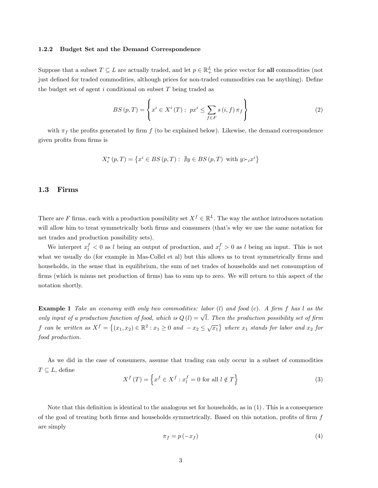## 1.2.2 Budget Set and the Demand Correspondence

Suppose that a subset  $T \subseteq L$  are actually traded, and let  $p \in \mathbb{R}^L_+$  the price vector for **all** commodities (not just defined for traded commodities, although prices for non-traded commodities can be anything). Define the budget set of agent i conditional on subset  $T$  being traded as

$$
BS(p,T) = \left\{ x^i \in X^i(T) : \ px^i \le \sum_{f \in F} s(i,f) \pi_f \right\}
$$
 (2)

with  $\pi_f$  the profits generated by firm f (to be explained below). Likewise, the demand correspondence given profits from firms is

$$
X_{i}^{*}\left(p,T\right)=\left\{ x^{i}\in BS\left(p,T\right):\ \nexists y\in BS\left(p,T\right)\ \text{with}\ y{\succcurlyeq_{i}}x^{i}\right\}
$$

## 1.3 Firms

There are F firms, each with a production possibility set  $X^f \in \mathbb{R}^L$ . The way the author introduces notation will allow him to treat symmetrically both firms and consumers (that's why we use the same notation for net trades and production possibility sets).

We interpret  $x_l^f < 0$  as l being an output of production, and  $x_l^f > 0$  as l being an input. This is not what we usually do (for example in Mas-Collel et al) but this allows us to treat symmetrically firms and households, in the sense that in equilibrium, the sum of net trades of households and net consumption of firms (which is minus net production of firms) has to sum up to zero. We will return to this aspect of the notation shortly.

**Example 1** Take an economy with only two commodities: labor  $(l)$  and food  $(c)$ . A firm f has l as the only input of a production function of food, which is  $Q(l) = \sqrt{l}$ . Then the production possibility set of firm f can be written as  $X^f = \{(x_1, x_2) \in \mathbb{R}^2 : x_1 \ge 0 \text{ and } -x_2 \le \sqrt{x_1}\}$  where  $x_1$  stands for labor and  $x_2$  for food production.

As we did in the case of consumers, assume that trading can only occur in a subset of commodities  $T \subseteq L$ , define

$$
X^{f}(T) = \left\{ x^{f} \in X^{f} : x_{l}^{f} = 0 \text{ for all } l \notin T \right\}
$$
\n
$$
(3)
$$

Note that this definition is identical to the analogous set for households, as in  $(1)$ . This is a consequence of the goal of treating both firms and households symmetrically. Based on this notation, profits of firm  $f$ are simply

$$
\pi_f = p(-x_f) \tag{4}
$$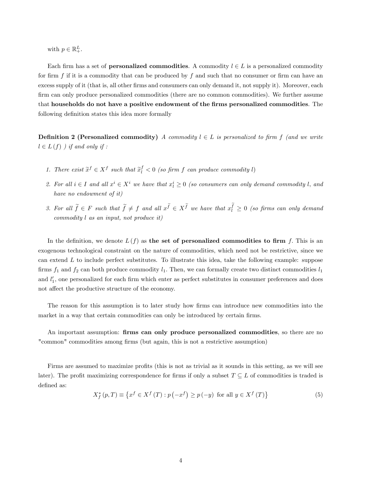with  $p \in \mathbb{R}^L_+$ .

Each firm has a set of **personalized commodities**. A commodity  $l \in L$  is a personalized commodity for firm f if it is a commodity that can be produced by f and such that no consumer or firm can have an excess supply of it (that is, all other firms and consumers can only demand it, not supply it). Moreover, each firm can only produce personalized commodities (there are no common commodities). We further assume that households do not have a positive endowment of the firms personalized commodities. The following definition states this idea more formally

**Definition 2 (Personalized commodity)** A commodity  $l \in L$  is personalized to firm f (and we write  $l \in L(f)$  ) if and only if :

- 1. There exist  $\tilde{x}^f \in X^f$  such that  $\tilde{x}^f_i < 0$  (so firm f can produce commodity l)
- 2. For all  $i \in I$  and all  $x^i \in X^i$  we have that  $x^i \geq 0$  (so consumers can only demand commodity l, and have no endowment of it)
- 3. For all  $\tilde{f} \in F$  such that  $\tilde{f} \neq f$  and all  $x^{\tilde{f}} \in X^{\tilde{f}}$  we have that  $x_i^f \geq 0$  (so firms can only demand commodity l as an input, not produce it)

In the definition, we denote  $L(f)$  as the set of personalized commodities to firm f. This is an exogenous technological constraint on the nature of commodities, which need not be restrictive, since we can extend  $L$  to include perfect substitutes. To illustrate this idea, take the following example: suppose firms  $f_1$  and  $f_2$  can both produce commodity  $l_1$ . Then, we can formally create two distinct commodities  $l_1$ and  $l'_1$ , one personalized for each firm which enter as perfect substitutes in consumer preferences and does not affect the productive structure of the economy.

The reason for this assumption is to later study how firms can introduce new commodities into the market in a way that certain commodities can only be introduced by certain firms.

An important assumption: firms can only produce personalized commodities, so there are no "common" commodities among firms (but again, this is not a restrictive assumption)

Firms are assumed to maximize profits (this is not as trivial as it sounds in this setting, as we will see later). The profit maximizing correspondence for firms if only a subset  $T \subseteq L$  of commodities is traded is defined as:

$$
X_f^*(p,T) \equiv \left\{ x^f \in X^f(T) : p(-x^f) \ge p(-y) \text{ for all } y \in X^f(T) \right\}
$$
 (5)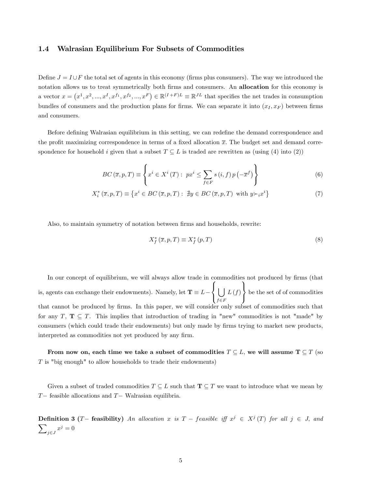## 1.4 Walrasian Equilibrium For Subsets of Commodities

Define  $J = I \cup F$  the total set of agents in this economy (firms plus consumers). The way we introduced the notation allows us to treat symmetrically both firms and consumers. An allocation for this economy is a vector  $x = (x^1, x^2, ..., x^I, x^{f_1}, x^{f_2}, ..., x^F) \in \mathbb{R}^{(I+F)L} \equiv \mathbb{R}^{JL}$  that specifies the net trades in consumption bundles of consumers and the production plans for firms. We can separate it into  $(x_I, x_F)$  between firms and consumers.

Before defining Walrasian equilibrium in this setting, we can redefine the demand correspondence and the profit maximizing correspondence in terms of a fixed allocation  $\bar{x}$ . The budget set and demand correspondence for household i given that a subset  $T \subseteq L$  is traded are rewritten as (using (4) into (2))

$$
BC\left(\overline{x}, p, T\right) \equiv \left\{ x^i \in X^i\left(T\right) : \ px^i \le \sum_{f \in F} s\left(i, f\right) p\left(-\overline{x}^f\right) \right\} \tag{6}
$$

$$
X_i^* (\overline{x}, p, T) \equiv \left\{ x^i \in BC(\overline{x}, p, T) : \exists y \in BC(\overline{x}, p, T) \text{ with } y \succ_i x^i \right\} \tag{7}
$$

Also, to maintain symmetry of notation between firms and households, rewrite:

$$
X_f^* (\overline{x}, p, T) \equiv X_f^* (p, T) \tag{8}
$$

In our concept of equilibrium, we will always allow trade in commodities not produced by firms (that is, agents can exchange their endowments). Namely, let  $\mathbf{T} \equiv L \sqrt{2}$  $\frac{1}{2}$  $\mathbf{I}$  $\overline{1}$  $f\in F$  $L(f)$  $\mathbf{A}$  $\mathbf{I}$  $\frac{1}{2}$ be the set of of commodities that cannot be produced by Örms. In this paper, we will consider only subset of commodities such that for any  $T, T \subseteq T$ . This implies that introduction of trading in "new" commodities is not "made" by consumers (which could trade their endowments) but only made by firms trying to market new products, interpreted as commodities not yet produced by any firm.

From now on, each time we take a subset of commodities  $T \subseteq L$ , we will assume  $T \subseteq T$  (so  $T$  is "big enough" to allow households to trade their endowments)

Given a subset of traded commodities  $T \subseteq L$  such that  $\mathbf{T} \subseteq T$  we want to introduce what we mean by  $T-$  feasible allocations and  $T-$  Walrasian equilibria.

**Definition 3** (*T* – feasibility) An allocation x is  $T$  – feasible iff  $x^j \in X^j(T)$  for all  $j \in J$ , and  $\overline{\phantom{0}}$  $j \in J$   $x^j = 0$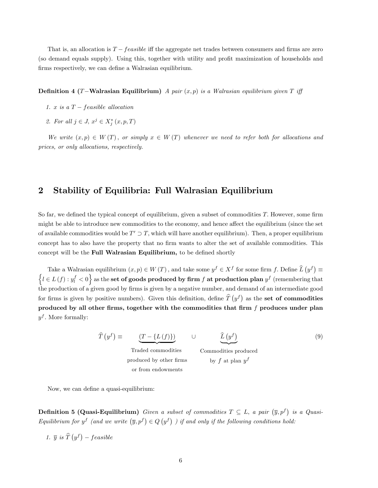That is, an allocation is  $T - feasible$  iff the aggregate net trades between consumers and firms are zero (so demand equals supply). Using this, together with utility and profit maximization of households and firms respectively, we can define a Walrasian equilibrium.

#### **Definition 4 (T-Walrasian Equilibrium)** A pair  $(x, p)$  is a Walrasian equilibrium given T iff

- 1. x is a  $T feasible$  allocation
- 2. For all  $j \in J$ ,  $x^j \in X_j^*$   $(x, p, T)$

We write  $(x, p) \in W(T)$ , or simply  $x \in W(T)$  whenever we need to refer both for allocations and prices, or only allocations, respectively.

## 2 Stability of Equilibria: Full Walrasian Equilibrium

So far, we defined the typical concept of equilibrium, given a subset of commodities  $T$ . However, some firm might be able to introduce new commodities to the economy, and hence affect the equilibrium (since the set of available commodities would be  $T' \supset T$ , which will have another equilibrium). Then, a proper equilibrium concept has to also have the property that no firm wants to alter the set of available commodities. This concept will be the Full Walrasian Equilibrium, to be defined shortly

Take a Walrasian equilibrium  $(x, p) \in W(T)$ , and take some  $y^f \in X^f$  for some firm f. Define  $\hat{L}(y^f) \equiv$ <br> $\int_{L \subseteq L(f) \cup Y^f} \langle z, 0 \rangle$  as the set of goods produced by firm f.et production plan of (remaining that  $l\in L\left(f\right): y_{l}^{f} < 0\Big\} \text{ as the } \textbf{set of goods produced by firm } f \textbf{ at production plan } y^{f} \text{ (remembering that } \mathcal{I}\left(\mathcal{A}\right))$ the production of a given good by Örms is given by a negative number, and demand of an intermediate good for firms is given by positive numbers). Given this definition, define  $\hat{T}(y^f)$  as the set of commodities produced by all other firms, together with the commodities that firm  $f$  produces under plan  $y<sup>f</sup>$ . More formally:

$$
\hat{T}(y^f) \equiv \underbrace{(T - \{L(f)\})}_{\text{Traded communities}} \qquad \cup \qquad \underbrace{\hat{L}(y^f)}_{\text{Commutities methods}} \tag{9}
$$

Traded commodities produced by other Örms or from endowments

Commodities produced by  $f$  at plan  $y^f$ 

Now, we can define a quasi-equilibrium:

**Definition 5 (Quasi-Equilibrium)** Given a subset of commodities  $T \subseteq L$ , a pair  $(\overline{y}, p^f)$  is a Quasi-Equilibrium for  $y^f$  (and we write  $(\overline{y}, p^f) \in Q(y^f)$ ) if and only if the following conditions hold:

1.  $\overline{y}$  is  $\widehat{T}(y^f)$  – feasible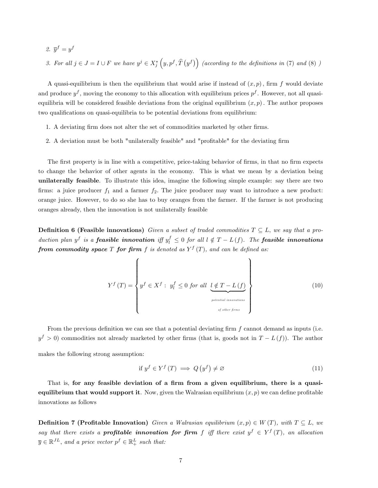- 2.  $\overline{y}^f = y^f$
- 3. For all  $j \in J = I \cup F$  we have  $y^j \in X_j^* (y, p^f, \hat{T}(y^f))$  (according to the definitions in (7) and (8) )

A quasi-equilibrium is then the equilibrium that would arise if instead of  $(x, p)$ , firm f would deviate and produce  $y<sup>f</sup>$ , moving the economy to this allocation with equilibrium prices  $p<sup>f</sup>$ . However, not all quasiequilibria will be considered feasible deviations from the original equilibrium  $(x, p)$ . The author proposes two qualifications on quasi-equilibria to be potential deviations from equilibrium:

- 1. A deviating firm does not alter the set of commodities marketed by other firms.
- 2. A deviation must be both "unilaterally feasible" and "profitable" for the deviating firm

The first property is in line with a competitive, price-taking behavior of firms, in that no firm expects to change the behavior of other agents in the economy. This is what we mean by a deviation being unilaterally feasible. To illustrate this idea, imagine the following simple example: say there are two firms: a juice producer  $f_1$  and a farmer  $f_2$ . The juice producer may want to introduce a new product: orange juice. However, to do so she has to buy oranges from the farmer. If the farmer is not producing oranges already, then the innovation is not unilaterally feasible

**Definition 6 (Feasible innovations)** Given a subset of traded commodities  $T \subseteq L$ , we say that a production plan y<sup>f</sup> is a **feasible innovation** iff  $y_l^f \leq 0$  for all  $l \notin T - L(f)$ . The **feasible innovations** from commodity space T for firm f is denoted as  $Y^f(T)$ , and can be defined as:

$$
Y^{f}(T) = \left\{ y^{f} \in X^{f} : y_{l}^{f} \leq 0 \text{ for all } \underbrace{l \notin T - L(f)}_{\text{potential innovations}} \right\}
$$
 (10)

From the previous definition we can see that a potential deviating firm  $f$  cannot demand as inputs (i.e.  $y<sup>f</sup> > 0$ ) commodities not already marketed by other firms (that is, goods not in  $T - L(f)$ ). The author

makes the following strong assumption:

$$
\text{if } y^f \in Y^f \left( T \right) \implies Q \left( y^f \right) \neq \varnothing \tag{11}
$$

That is, for any feasible deviation of a firm from a given equilibrium, there is a quasiequilibrium that would support it. Now, given the Walrasian equilibrium  $(x, p)$  we can define profitable innovations as follows

**Definition 7 (Profitable Innovation)** Given a Walrasian equilibrium  $(x, p) \in W(T)$ , with  $T \subseteq L$ , we say that there exists a **profitable innovation for firm** f iff there exist  $y^f \in Y^f(T)$ , an allocation  $\overline{y} \in \mathbb{R}^{JL}$ , and a price vector  $p^f \in \mathbb{R}^L_+$  such that: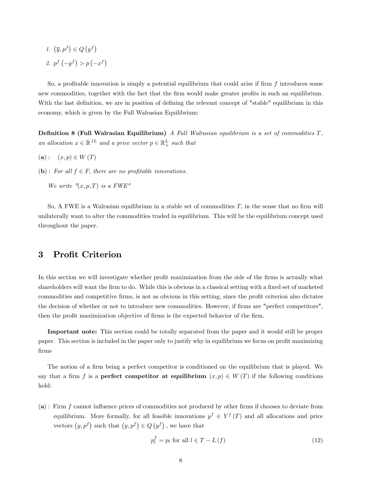1.  $(\overline{y}, p^f) \in Q(y^f)$ 2.  $p^f(-y^f) > p(-x^f)$ 

So, a profitable innovation is simply a potential equilibrium that could arise if firm  $f$  introduces some new commodities, together with the fact that the firm would make greater profits in such an equilibrium. With the last definition, we are in position of defining the relevant concept of "stable" equilibrium in this economy, which is given by the Full Walrasian Equilibrium:

**Definition 8 (Full Walrasian Equilibrium)** A Full Walrasian equilibrium is a set of commodities  $T$ , an allocation  $x \in \mathbb{R}^{JL}$  and a price vector  $p \in \mathbb{R}^{L}_{+}$  such that

- $(a) : (x, p) \in W(T)$
- (b): For all  $f \in F$ , there are no profitable innovations.

We write  $''(x, p, T)$  is a FWE"

So, A FWE is a Walrasian equilibrium in a stable set of commodities  $T$ , in the sense that no firm will unilaterally want to alter the commodities traded in equilibrium. This will be the equilibrium concept used throughout the paper.

## 3 Profit Criterion

In this section we will investigate whether profit maximization from the side of the firms is actually what shareholders will want the firm to do. While this is obvious in a classical setting with a fixed set of marketed commodities and competitive firms, is not as obvious in this setting, since the profit criterion also dictates the decision of whether or not to introduce new commodities. However, if firms are "perfect competitors", then the profit maximization objective of firms is the expected behavior of the firm.

Important note: This section could be totally separated from the paper and it would still be proper paper. This section is included in the paper only to justify why in equilibrium we focus on profit maximizing Örms

The notion of a firm being a perfect competitor is conditioned on the equilibrium that is played. We say that a firm f is a **perfect competitor at equilibrium**  $(x, p) \in W(T)$  if the following conditions hold:

 $(a)$ : Firm f cannot influence prices of commodities not produced by other firms if chooses to deviate from equilibrium. More formally, for all feasible innovations  $y^f \in Y^f(T)$  and all allocations and price vectors  $(y, p^f)$  such that  $(y, p^f) \in Q(y^f)$ , we have that

$$
p_l^f = p_l \text{ for all } l \in T - L(f)
$$
\n
$$
(12)
$$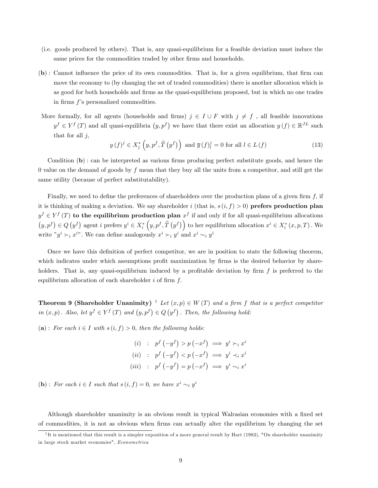- (i.e. goods produced by others). That is, any quasi-equilibrium for a feasible deviation must induce the same prices for the commodities traded by other firms and households.
- $(b)$ : Cannot influence the price of its own commodities. That is, for a given equilibrium, that firm can move the economy to (by changing the set of traded commodities) there is another allocation which is as good for both households and firms as the quasi-equilibrium proposed, but in which no one trades in firms  $f$ 's personalized commodities.
- More formally, for all agents (households and firms)  $j \in I \cup F$  with  $j \neq f$ , all feasible innovations  $y^f \in Y^f(T)$  and all quasi-equilibria  $(y, p^f)$  we have that there exist an allocation  $y(f) \in \mathbb{R}^{JL}$  such that for all  $j$ ,

$$
y(f)^{j} \in X_{j}^{*}\left(y, p^{f}, \widehat{T}\left(y^{f}\right)\right) \text{ and } \overline{y}\left(f\right)_{l}^{j} = 0 \text{ for all } l \in L\left(f\right)
$$
\n
$$
(13)
$$

Condition  $(b)$ : can be interpreted as various firms producing perfect substitute goods, and hence the 0 value on the demand of goods by  $f$  mean that they buy all the units from a competitor, and still get the same utility (because of perfect substitutability).

Finally, we need to define the preferences of shareholders over the production plans of a given firm  $f$ , if it is thinking of making a deviation. We say shareholder i (that is,  $s(i, f) > 0$ ) prefers production plan  $y^f \in Y^f(T)$  to the equilibrium production plan  $x^f$  if and only if for all quasi-equilibrium allocations  $(y, p^f) \in Q(y^f)$  agent i prefers  $y^i \in X_i^* (y, p^f, \hat{T}(y^f))$  to her equilibrium allocation  $x^i \in X_i^* (x, p, T)$ . We write " $y^i \succ_i x^{i}$ ". We can define analogously  $x^i \succ_i y^i$  and  $x^i \sim_i y^i$ 

Once we have this definition of perfect competitor, we are in position to state the following theorem, which indicates under which assumptions profit maximization by firms is the desired behavior by shareholders. That is, any quasi-equilibrium induced by a profitable deviation by firm  $f$  is preferred to the equilibrium allocation of each shareholder  $i$  of firm  $f$ .

**Theorem 9 (Shareholder Unanimity)** <sup>1</sup> Let  $(x, p) \in W(T)$  and a firm f that is a perfect competitor in  $(x, p)$ . Also, let  $y^f \in Y^f(T)$  and  $(y, p^f) \in Q(y^f)$ . Then, the following hold:

(a): For each  $i \in I$  with  $s (i, f) > 0$ , then the following holds:

(i) :  $p^f(-y^f) > p(-x^f) \implies y^i \succ_i x^i$ (ii) :  $p^f(-y^f) < p(-x^f) \implies y^i \prec_i x^i$ (iii) :  $p^f(-y^f) = p(-x^f) \implies y^i \sim_i x^i$ 

(b): For each  $i \in I$  such that  $s(i, f) = 0$ , we have  $x^i \sim_i y^i$ 

Although shareholder unanimity is an obvious result in typical Walrasian economies with a fixed set of commodities, it is not as obvious when firms can actually alter the equilibrium by changing the set

<sup>&</sup>lt;sup>1</sup>It is mentioned that this result is a simpler exposition of a more general result by Hart (1983), "On shareholder unanimity in large stock market economies", Econometrica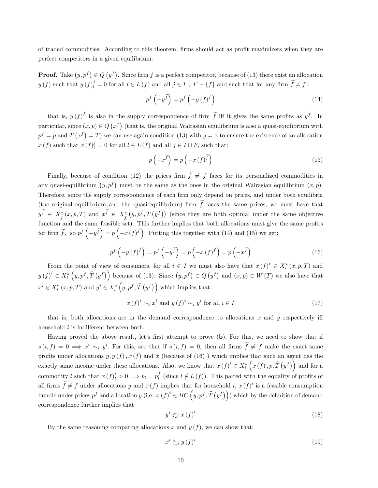of traded commodities. According to this theorem, firms should act as profit maximizers when they are perfect competitors in a given equilibrium.

**Proof.** Take  $(y, p^f) \in Q(y^f)$ . Since firm f is a perfect competitor, because of (13) there exist an allocation  $y(f)$  such that  $y(f)_{l}^{j} = 0$  for all  $l \in L(f)$  and all  $j \in I \cup F - \{f\}$  and such that for any firm  $\widetilde{f} \neq f$ :

$$
p^{f}\left(-y^{\tilde{f}}\right) = p^{f}\left(-y\left(f\right)^{\tilde{f}}\right)
$$
\n(14)

that is,  $y(f)^f$  is also in the supply correspondence of firm  $\tilde{f}$  iff it gives the same profits as  $y^{\tilde{f}}$ . In particular, since  $(x, p) \in Q(x^f)$  (that is, the original Walrasian equilibrium is also a quasi-equilibrium with  $p^f = p$  and  $T(x^f) = T$ ) we can use again condition (13) with  $y = x$  to ensure the existence of an allocation  $x(f)$  such that  $x(f)_{l}^{j} = 0$  for all  $l \in L(f)$  and all  $j \in I \cup F$ , such that:

$$
p\left(-x^{\tilde{f}}\right) = p\left(-x\left(f\right)^{\tilde{f}}\right) \tag{15}
$$

Finally, because of condition (12) the prices firm  $\tilde{f} \neq f$  faces for its personalized commodities in any quasi-equilibrium  $(y, p^f)$  must be the same as the ones in the original Walrasian equilibrium  $(x, p)$ . Therefore, since the supply correspondence of each firm only depend on prices, and under both equilibria (the original equilibrium and the quasi-equilibrium) firm  $\tilde{f}$  faces the same prices, we must have that  $y^f \in X^*_{\widetilde{f}}(x, p, T)$  and  $x^f \in X^*_{\widetilde{f}}$  $(y, p^f, T(y^f))$  (since they are both optimal under the same objective function and the same feasible set). This further implies that both allocations must give the same profits for firm  $\tilde{f}$ , so  $p^f\left(-y^{\tilde{f}}\right) = p\left(-x^{\tilde{f}}(f)^{\tilde{f}}\right)$ . Putting this together with (14) and (15) we get:

$$
p^f\left(-y\left(f\right)^{\tilde{f}}\right) = p^f\left(-y^{\tilde{f}}\right) = p\left(-x\left(f\right)^{\tilde{f}}\right) = p\left(-x^{\tilde{f}}\right)
$$
\n(16)

From the point of view of consumers, for all  $i \in I$  we must also have that  $x(f)^i \in X_i^*(x, p, T)$  and  $y(f)^{i} \in X_{i}^{*}(y, p^{f}, \hat{T}(y^{f}))$  because of (13). Since  $(y, p^{f}) \in Q(y^{f})$  and  $(x, p) \in W(T)$  we also have that  $x^{i} \in X_{i}^{*}(x, p, T)$  and  $y^{i} \in X_{i}^{*}(y, p^{f}, \hat{T}(y^{f}))$  which implies that :

$$
x(f)^{i} \sim_{i} x^{i} \text{ and } y(f)^{i} \sim_{i} y^{i} \text{ for all } i \in I
$$
\n
$$
(17)
$$

that is, both allocations are in the demand correspondence to allocations  $x$  and  $y$  respectively iff household  $i$  is indifferent between both.

Having proved the above result, let's first attempt to prove (b). For this, we need to show that if  $s(i, f) = 0 \implies x^i \sim_i y^i$ . For this, see that if  $s(i, f) = 0$ , then all firms  $\hat{f} \neq f$  make the exact same profits under allocations  $y, y(f), x(f)$  and x (because of (16)) which implies that such an agent has the exactly same income under these allocations. Also, we know that  $x(f)^i \in X_i^*([x(f), p, \hat{T}(y^f))]$  and for a commodity l such that  $x(f)^i_l > 0 \Longrightarrow p_l = p^f_l$  (since  $l \notin L(f)$ ). This paired with the equality of profits of all firms  $\widetilde{f} \neq f$  under allocations y and  $x(f)$  implies that for household i,  $x(f)^i$  is a feasible consumption bundle under prices  $p^f$  and allocation y (i.e.  $x(f)^i \in BC\left(y, p^f, \widehat{T}\left(y^f\right)\right)$ ) which by the definition of demand correspondence further implies that

$$
y^i \succsim_i x(f)^i \tag{18}
$$

By the same reasoning comparing allocations x and  $y(f)$ , we can show that:

$$
x^i \succsim_i y(f)^i \tag{19}
$$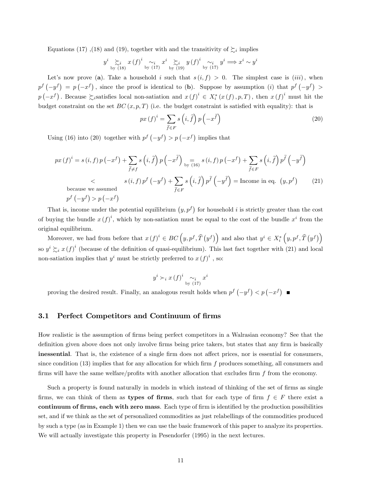Equations (17), (18) and (19), together with and the transitivity of  $\succsim_i$  implies

$$
y^{i} \underset{\text{by (18)}}{\succ} x(f)^{i} \underset{\text{by (17)}}{\sim} x^{i} \underset{\text{by (19)}}{\succ} y(f)^{i} \underset{\text{by (17)}}{\sim} y^{i} \implies x^{i} \sim y^{i}
$$

Let's now prove (a). Take a household i such that  $s(i, f) > 0$ . The simplest case is (iii), when  $p^f(-y^f) = p(-x^f)$ , since the proof is identical to (b). Suppose by assumption (i) that  $p^f(-y^f) >$  $p(-x^f)$ . Because  $\sum_i$  satisfies local non-satiation and  $x(f)^i \in X_i^*(x(f), p, T)$ , then  $x(f)^i$  must hit the budget constraint on the set  $BC(x, p, T)$  (i.e. the budget constraint is satisfied with equality): that is

$$
px(f)^{i} = \sum_{\tilde{f} \in F} s\left(i, \tilde{f}\right) p\left(-x^{\tilde{f}}\right)
$$
\n(20)

Using (16) into (20) together with  $p^f(-y^f) > p(-x^f)$  implies that

$$
px(f)^{i} = s(i, f) p(-x^{f}) + \sum_{\tilde{f} \neq f} s(i, \tilde{f}) p(-x^{\tilde{f}}) \underset{\text{by (16)}}{=} s(i, f) p(-x^{f}) + \sum_{\tilde{f} \in F} s(i, \tilde{f}) p^{\tilde{f}}(-y^{\tilde{f}})
$$
  
< 
$$
< s(i, f) p^{f}(-y^{f}) + \sum_{\tilde{f} \in F} s(i, \tilde{f}) p^{\tilde{f}}(-y^{\tilde{f}}) = \text{Income in eq. } (y, p^{f})
$$
  
because we assumed  

$$
p^{f}(-y^{f}) > p(-x^{f})
$$
 (21)

That is, income under the potential equilibrium  $(y, p^f)$  for household i is strictly greater than the cost of buying the bundle  $x(f)^i$ , which by non-satiation must be equal to the cost of the bundle  $x^i$  from the original equilibrium.

Moreover, we had from before that  $x(f)^i \in BC\left(y, p^f, \hat{T}\left(y^f\right)\right)$  and also that  $y^i \in X_i^*\left(y, p^f, \hat{T}\left(y^f\right)\right)$ so  $y^i \succsim_i x(f)^i$  (because of the definition of quasi-equilibrium). This last fact together with (21) and local non-satiation implies that  $y^i$  must be strictly preferred to  $x(f)^i$ , so:

$$
y^i \succ_i x (f)^i \sim_i x^i
$$
by (17)

proving the desired result. Finally, an analogous result holds when  $p^f(-y^f) < p(-x^f)$ 

## 3.1 Perfect Competitors and Continuum of firms

How realistic is the assumption of firms being perfect competitors in a Walrasian economy? See that the definition given above does not only involve firms being price takers, but states that any firm is basically inessential. That is, the existence of a single firm does not affect prices, nor is essential for consumers, since condition  $(13)$  implies that for any allocation for which firm f produces something, all consumers and firms will have the same welfare/profits with another allocation that excludes firm  $f$  from the economy.

Such a property is found naturally in models in which instead of thinking of the set of firms as single firms, we can think of them as types of firms, such that for each type of firm  $f \in F$  there exist a continuum of firms, each with zero mass. Each type of firm is identified by the production possibilities set, and if we think as the set of personalized commodities as just relabellings of the commodities produced by such a type (as in Example 1) then we can use the basic framework of this paper to analyze its properties. We will actually investigate this property in Pesendorfer (1995) in the next lectures.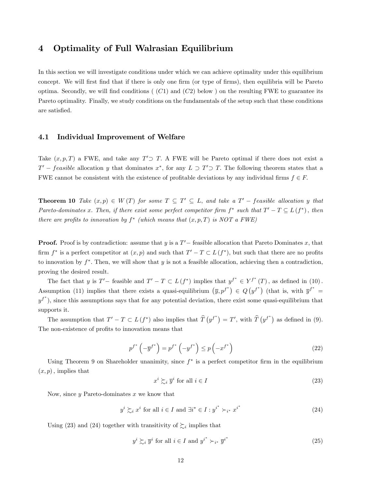## 4 Optimality of Full Walrasian Equilibrium

In this section we will investigate conditions under which we can achieve optimality under this equilibrium concept. We will first find that if there is only one firm (or type of firms), then equilibria will be Pareto optima. Secondly, we will find conditions ( $(C1)$  and  $(C2)$  below) on the resulting FWE to guarantee its Pareto optimality. Finally, we study conditions on the fundamentals of the setup such that these conditions are satisfied.

## 4.1 Individual Improvement of Welfare

Take  $(x, p, T)$  a FWE, and take any  $T' \supset T$ . A FWE will be Pareto optimal if there does not exist a  $T'$  – feasible allocation y that dominates  $x^*$ , for any  $L \supset T' \supset T$ . The following theorem states that a FWE cannot be consistent with the existence of profitable deviations by any individual firms  $f \in F$ .

**Theorem 10** Take  $(x, p) \in W(T)$  for some  $T \subseteq T' \subseteq L$ , and take a  $T'$  – feasible allocation y that Pareto-dominates x. Then, if there exist some perfect competitor firm  $f^*$  such that  $T' - T \subseteq L(f^*)$ , then there are profits to innovation by  $f^*$  (which means that  $(x, p, T)$  is NOT a FWE)

**Proof.** Proof is by contradiction: assume that y is a  $T'$  - feasible allocation that Pareto Dominates x, that firm  $f^*$  is a perfect competitor at  $(x, p)$  and such that  $T' - T \subset L(f^*)$ , but such that there are no profits to innovation by  $f^*$ . Then, we will show that y is not a feasible allocation, achieving then a contradiction, proving the desired result.

The fact that y is  $T'$  – feasible and  $T' - T \subset L(f^*)$  implies that  $y^{f^*} \in Y^{f^*}(T)$ , as defined in (10). Assumption (11) implies that there exists a quasi-equilibrium  $(\bar{y}, p^{f^*}) \in Q(y^{f^*})$  (that is, with  $\bar{y}^{f^*} =$  $y^{f^*}$ ), since this assumptions says that for any potential deviation, there exist some quasi-equilibrium that supports it.

The assumption that  $T' - T \subset L(f^*)$  also implies that  $\hat{T}(y^{f^*}) = T'$ , with  $\hat{T}(y^{f^*})$  as defined in (9). The non-existence of profits to innovation means that

$$
p^{f^*} \left(-\overline{y}^{f^*}\right) = p^{f^*} \left(-y^{f^*}\right) \le p \left(-x^{f^*}\right)
$$
\n<sup>(22)</sup>

Using Theorem 9 on Shareholder unanimity, since  $f^*$  is a perfect competitor firm in the equilibrium  $(x, p)$ , implies that

$$
x^i \succsim_i \overline{y}^i \text{ for all } i \in I \tag{23}
$$

Now, since  $y$  Pareto-dominates  $x$  we know that

$$
y^{i} \succsim_{i} x^{i} \text{ for all } i \in I \text{ and } \exists i^{*} \in I : y^{i^{*}} \succ_{i^{*}} x^{i^{*}} \tag{24}
$$

Using (23) and (24) together with transitivity of  $\succsim_i$  implies that

$$
y^{i} \succsim_{i} \overline{y}^{i} \text{ for all } i \in I \text{ and } y^{i^{*}} \succ_{i^{*}} \overline{y}^{i^{*}}
$$
\n
$$
(25)
$$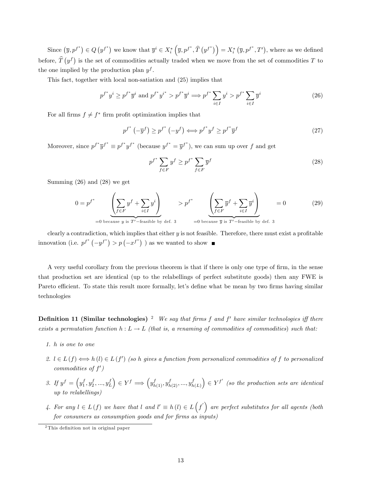Since  $(\overline{y}, p^{f^*}) \in Q(y^{f^*})$  we know that  $\overline{y}^i \in X_i^* (\overline{y}, p^{f^*}, \widehat{T}(y^{f^*})\big) = X_i^* (\overline{y}, p^{f^*}, T')$ , where as we defined before,  $\hat{T}(y^f)$  is the set of commodities actually traded when we move from the set of commodities T to the one implied by the production plan  $y^f$ .

This fact, together with local non-satiation and (25) implies that

$$
p^{f^*}y^i \ge p^{f^*}\overline{y}^i \text{ and } p^{f^*}y^{i^*} > p^{f^*}\overline{y}^i \Longrightarrow p^{f^*}\sum_{i \in I} y^i > p^{f^*}\sum_{i \in I} \overline{y}^i
$$
 (26)

For all firms  $f \neq f^*$  firm profit optimization implies that

$$
p^{f^*} \left(-\overline{y}^f\right) \ge p^{f^*} \left(-y^f\right) \Longleftrightarrow p^{f^*} y^f \ge p^{f^*} \overline{y}^f \tag{27}
$$

Moreover, since  $p^{f^*}\overline{y}^{f^*} \equiv p^{f^*}y^{f^*}$  (because  $y^{f^*} = \overline{y}^{f^*}$ ), we can sum up over f and get

$$
p^{f^*} \sum_{f \in F} y^f \ge p^{f^*} \sum_{f \in F} \overline{y}^f \tag{28}
$$

Summing (26) and (28) we get

$$
0 = p^{f^*} \left( \sum_{f \in F} y^f + \sum_{i \in I} y^i \right) > p^{f^*} \left( \sum_{f \in F} \overline{y}^f + \sum_{i \in I} \overline{y}^i \right) = 0
$$
 (29)  
=0 because  $y$  is  $T'$ -feasible by def. 3 =0 because  $\overline{y}$  is  $T'$ -feasible by def. 3

clearly a contradiction, which implies that either  $y$  is not feasible. Therefore, there must exist a profitable innovation (i.e.  $p^{f^*}(-y^{f^*}) > p(-x^{f^*})$ ) as we wanted to show

A very useful corollary from the previous theorem is that if there is only one type of firm, in the sense that production set are identical (up to the relabellings of perfect substitute goods) then any FWE is Pareto efficient. To state this result more formally, let's define what be mean by two firms having similar technologies

**Definition 11 (Similar technologies)** <sup>2</sup> We say that firms f and f' have similar technologies iff there exists a permutation function  $h : L \to L$  (that is, a renaming of commodities of commodities) such that:

- 1. h is one to one
- 2.  $l \in L(f) \Longleftrightarrow h(l) \in L(f')$  (so h gives a function from personalized commodities of f to personalized  $commodities of f'$
- 3. If  $y^f = \left(y_1^f, y_2^f, ..., y_L^f\right) \in Y^f \Longrightarrow \left(y_{h(1)}^f, y_{h(2)}^f, ..., y_h^f\right)$  $h(L)$  $\left( \sum_{i=1}^{n} f^{i} \right)$  (so the production sets are identical up to relabellings)
- 4. For any  $l \in L(f)$  we have that l and  $l' \equiv h(l) \in L(f')$  are perfect substitutes for all agents (both for consumers as consumption goods and for firms as inputs)

 $2$ This definition not in original paper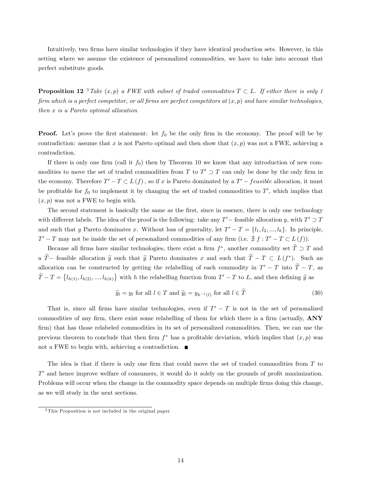Intuitively, two firms have similar technologies if they have identical production sets. However, in this setting where we assume the existence of personalized commodities, we have to take into account that perfect substitute goods.

**Proposition 12** <sup>3</sup> Take  $(x, p)$  a FWE with subset of traded commodities  $T \subset L$ . If either there is only 1 firm which is a perfect competitor, or all firms are perfect competitors at  $(x, p)$  and have similar technologies, then x is a Pareto optimal allocation

**Proof.** Let's prove the first statement: let  $f_0$  be the only firm in the economy. The proof will be by contradiction: assume that x is not Pareto optimal and then show that  $(x, p)$  was not a FWE, achieving a contradiction.

If there is only one firm (call it  $f_0$ ) then by Theorem 10 we know that any introduction of new commodities to move the set of traded commodities from T to  $T' \supset T$  can only be done by the only firm in the economy. Therefore  $T' - T \subset L(f)$ , so if x is Pareto dominated by a  $T' - feasible$  allocation, it must be profitable for  $f_0$  to implement it by changing the set of traded commodities to  $T'$ , which implies that  $(x, p)$  was not a FWE to begin with.

The second statement is basically the same as the first, since in essence, there is only one technology with different labels. The idea of the proof is the following: take any  $T'$  – feasible allocation y, with  $T' \supset T$ and such that y Pareto dominates x. Without loss of generality, let  $T' - T = \{l_1, l_2, ..., l_k\}$ . In principle,  $T' - T$  may not be inside the set of personalized commodities of any firm (i.e.  $\# f : T' - T \subset L(f)$ ).

Because all firms have similar technologies, there exist a firm  $f^*$ , another commodity set  $T \supset T$  and a T – feasible allocation  $\tilde{y}$  such that  $\tilde{y}$  Pareto dominates x and such that  $T-T \subset L(f^*)$ . allocation can be constructed by getting the relabelling of each commodity in  $T' - T$  into  $T - T$ , as  $\widetilde{T}-T=\{l_{h(1)}, l_{h(2)},...,l_{h(k)}\}$  with h the relabelling function from  $T'-T$  to L, and then defining  $\widetilde{y}$  as

$$
\widetilde{y}_l = y_l \text{ for all } l \in T \text{ and } \widetilde{y}_l = y_{h^{-1}(l)} \text{ for all } l \in T
$$
\n(30)

That is, since all firms have similar technologies, even if  $T' - T$  is not in the set of personalized commodities of any firm, there exist some relabelling of them for which there is a firm (actually, ANY firm) that has those relabeled commodities in its set of personalized commodities. Then, we can use the previous theorem to conclude that then firm  $f^*$  has a profitable deviation, which implies that  $(x, p)$  was not a FWE to begin with, achieving a contradiction.  $\blacksquare$ 

The idea is that if there is only one firm that could move the set of traded commodities from  $T$  to  $T'$  and hence improve welfare of consumers, it would do it solely on the grounds of profit maximization. Problems will occur when the change in the commodity space depends on multiple firms doing this change, as we will study in the next sections.

<sup>3</sup> This Proposition is not included in the original paper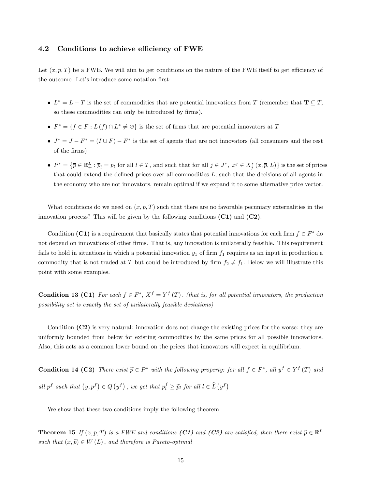## 4.2 Conditions to achieve efficiency of FWE

Let  $(x, p, T)$  be a FWE. We will aim to get conditions on the nature of the FWE itself to get efficiency of the outcome. Let's introduce some notation first:

- $L^* = L T$  is the set of commodities that are potential innovations from T (remember that  $\mathbf{T} \subseteq T$ , so these commodities can only be introduced by firms).
- $F^* = \{ f \in F : L(f) \cap L^* \neq \emptyset \}$  is the set of firms that are potential innovators at T
- $J^* = J F^* = (I \cup F) F^*$  is the set of agents that are not innovators (all consumers and the rest of the Örms)
- $P^* = \{\overline{p} \in \mathbb{R}_+^L : \overline{p}_l = p_l \text{ for all } l \in T, \text{ and such that for all } j \in J^*, x^j \in X_j^*(x, \overline{p}, L)\}\$  is the set of prices that could extend the defined prices over all commodities  $L$ , such that the decisions of all agents in the economy who are not innovators, remain optimal if we expand it to some alternative price vector.

What conditions do we need on  $(x, p, T)$  such that there are no favorable pecuniary externalities in the innovation process? This will be given by the following conditions  $(C1)$  and  $(C2)$ .

Condition (C1) is a requirement that basically states that potential innovations for each firm  $f \in F^*$  do not depend on innovations of other firms. That is, any innovation is unilaterally feasible. This requirement fails to hold in situations in which a potential innovation  $y_1$  of firm  $f_1$  requires as an input in production a commodity that is not traded at T but could be introduced by firm  $f_2 \neq f_1$ . Below we will illustrate this point with some examples.

**Condition 13 (C1)** For each  $f \in F^*$ ,  $X^f = Y^f(T)$ . (that is, for all potential innovators, the production possibility set is exactly the set of unilaterally feasible deviations)

Condition (C2) is very natural: innovation does not change the existing prices for the worse: they are uniformly bounded from below for existing commodities by the same prices for all possible innovations. Also, this acts as a common lower bound on the prices that innovators will expect in equilibrium.

**Condition 14 (C2)** There exist  $\widetilde{p} \in P^*$  with the following property: for all  $f \in F^*$ , all  $y^f \in Y^f(T)$  and all p<sup>f</sup> such that  $(y, p^f) \in Q(y^f)$ , we get that  $p_l^f \geq \tilde{p}_l$  for all  $l \in \hat{L}(y^f)$ 

We show that these two conditions imply the following theorem

**Theorem 15** If  $(x, p, T)$  is a FWE and conditions  $(C1)$  and  $(C2)$  are satisfied, then there exist  $\widetilde{p} \in \mathbb{R}^L$ such that  $(x, \tilde{p}) \in W(L)$ , and therefore is Pareto-optimal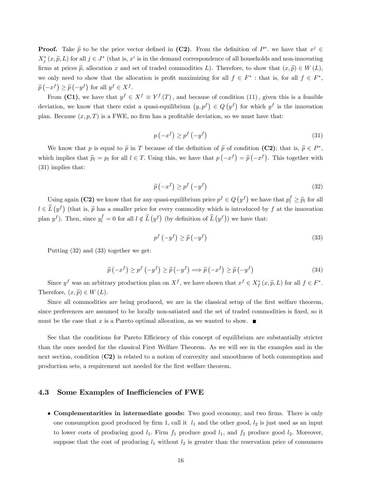**Proof.** Take  $\tilde{p}$  to be the price vector defined in (C2). From the definition of  $P^*$ , we have that  $x^j \in$  $X_j^*(x, \tilde{p}, L)$  for all  $j \in J^*$  (that is,  $x^i$  is in the demand correspondence of all households and non-innovating firms at prices  $\tilde{p}$ , allocation x and set of traded commodities L). Therefore, to show that  $(x, \tilde{p}) \in W(L)$ , we only need to show that the allocation is profit maximizing for all  $f \in F^*$ : that is, for all  $f \in F^*$ ,  $\widetilde{p}(-x^f) \geq \widetilde{p}(-y^f)$  for all  $y^f \in X^f$ .

From (C1), we have that  $y^f \in X^f \equiv Y^f(T)$ , and because of condition (11), given this is a feasible deviation, we know that there exist a quasi-equilibrium  $(y, p^f) \in Q(y^f)$  for which  $y^f$  is the innovation plan. Because  $(x, p, T)$  is a FWE, no firm has a profitable deviation, so we must have that:

$$
p(-x^f) \ge p^f(-y^f) \tag{31}
$$

We know that p is equal to  $\tilde{p}$  in T because of the definition of  $\tilde{p}$  of condition  $(C2)$ ; that is,  $\tilde{p} \in P^*$ , which implies that  $\tilde{p}_l = p_l$  for all  $l \in T$ . Using this, we have that  $p(-x^f) = \tilde{p}(-x^f)$ . This together with (31) implies that:

$$
\widetilde{p}\left(-x^{f}\right) \ge p^{f}\left(-y^{f}\right) \tag{32}
$$

Using again (C2) we know that for any quasi-equilibrium price  $p^f \in Q(y^f)$  we have that  $p_l^f \geq \tilde{p}_l$  for all  $l \in \hat{L}(y^f)$  (that is,  $\tilde{p}$  has a smaller price for every commodity which is introduced by f at the innovation plan  $y^f$ ). Then, since  $y_l^f = 0$  for all  $l \notin \hat{L}(y^f)$  (by definition of  $\hat{L}(y^f)$ ) we have that:

$$
p^f\left(-y^f\right) \ge \widetilde{p}\left(-y^f\right) \tag{33}
$$

Putting (32) and (33) together we get:

$$
\widetilde{p}(-x^f) \ge p^f(-y^f) \ge \widetilde{p}(-y^f) \Longrightarrow \widetilde{p}(-x^f) \ge \widetilde{p}(-y^f)
$$
\n(34)

Since  $y^f$  was an arbitrary production plan on  $X^f$ , we have shown that  $x^f \in X^*_f(x, \tilde{p}, L)$  for all  $f \in F^*$ . Therefore,  $(x, \tilde{p}) \in W(L)$ .

Since all commodities are being produced, we are in the classical setup of the first welfare theorem, since preferences are assumed to be locally non-satiated and the set of traded commodities is fixed, so it must be the case that x is a Pareto optimal allocation, as we wanted to show.  $\blacksquare$ 

See that the conditions for Pareto Efficiency of this concept of equilibrium are substantially stricter than the ones needed for the classical First Welfare Theorem. As we will see in the examples and in the next section, condition (C2) is related to a notion of convexity and smoothness of both consumption and production sets, a requirement not needed for the first welfare theorem.

#### 4.3 Some Examples of Inefficiencies of FWE

• Complementarities in intermediate goods: Two good economy, and two firms. There is only one consumption good produced by firm 1, call it  $l_1$  and the other good,  $l_2$  is just used as an input to lower costs of producing good  $l_1$ . Firm  $f_1$  produce good  $l_1$ , and  $f_2$  produce good  $l_2$ . Moreover, suppose that the cost of producing  $l_1$  without  $l_2$  is greater than the reservation price of consumers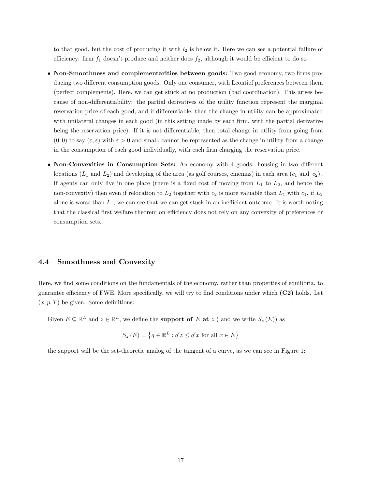to that good, but the cost of producing it with  $l_2$  is below it. Here we can see a potential failure of efficiency: firm  $f_1$  doesn't produce and neither does  $f_2$ , although it would be efficient to do so

- Non-Smoothness and complementarities between goods: Two good economy, two firms producing two different consumption goods. Only one consumer, with Leontief preferences between them (perfect complements). Here, we can get stuck at no production (bad coordination). This arises because of non-differentiability: the partial derivatives of the utility function represent the marginal reservation price of each good, and if differentiable, then the change in utility can be approximated with unilateral changes in each good (in this setting made by each firm, with the partial derivative being the reservation price). If it is not differentiable, then total change in utility from going from  $(0,0)$  to say  $(\varepsilon,\varepsilon)$  with  $\varepsilon > 0$  and small, cannot be represented as the change in utility from a change in the consumption of each good individually, with each firm charging the reservation price.
- Non-Convexities in Consumption Sets: An economy with 4 goods: housing in two different locations  $(L_1 \text{ and } L_2)$  and developing of the area (as golf courses, cinemas) in each area  $(c_1 \text{ and } c_2)$ . If agents can only live in one place (there is a fixed cost of moving from  $L_1$  to  $L_2$ , and hence the non-convexity) then even if relocation to  $L_2$  together with  $c_2$  is more valuable than  $L_1$  with  $c_1$ , if  $L_2$ alone is worse than  $L_1$ , we can see that we can get stuck in an inefficient outcome. It is worth noting that the classical first welfare theorem on efficiency does not rely on any convexity of preferences or consumption sets.

#### 4.4 Smoothness and Convexity

Here, we find some conditions on the fundamentals of the economy, rather than properties of equilibria, to guarantee efficiency of FWE. More specifically, we will try to find conditions under which  $(C2)$  holds. Let  $(x, p, T)$  be given. Some definitions:

Given  $E \subseteq \mathbb{R}^L$  and  $z \in \mathbb{R}^L$ , we define the **support of** E **at** z ( and we write  $S_z(E)$ ) as

$$
S_z(E) = \left\{ q \in \mathbb{R}^L : q'z \le q'x \text{ for all } x \in E \right\}
$$

the support will be the set-theoretic analog of the tangent of a curve, as we can see in Figure 1: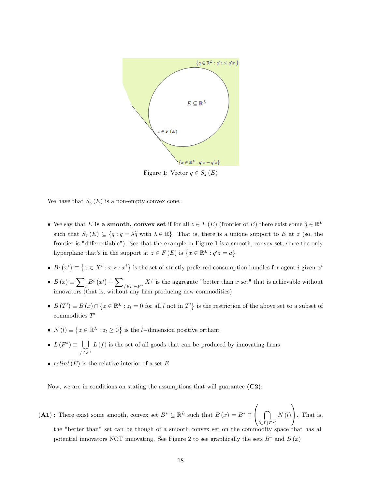

Figure 1: Vector  $q \in S_z(E)$ 

We have that  $S_z(E)$  is a non-empty convex cone.

- We say that E is a smooth, convex set if for all  $z \in F(E)$  (frontier of E) there exist some  $\tilde{q} \in \mathbb{R}^L$ such that  $S_z (E) \subseteq \{q : q = \lambda \tilde{q} \text{ with } \lambda \in \mathbb{R} \}$ . That is, there is a unique support to E at z (so, the frontier is "differentiable"). See that the example in Figure 1 is a smooth, convex set, since the only hyperplane that's in the support at  $z \in F(E)$  is  $\{x \in \mathbb{R}^L : q'z = a\}$
- $B_i(x^i) \equiv \{x \in X^i : x \succ_i x^i\}$  is the set of strictly preferred consumption bundles for agent i given  $x^i$
- $B(x) \equiv \sum$  $i_B^B(x^i) + \sum_{f \in F - F^*} X^f$  is the aggregate "better than x set" that is achievable without innovators (that is, without any firm producing new commodities)
- $B(T') \equiv B(x) \cap \{z \in \mathbb{R}^L : z_l = 0 \text{ for all } l \text{ not in } T'\}$  is the restriction of the above set to a subset of  $\mathop{\mathrm{commodities}} T'$
- $N(l) \equiv \{z \in \mathbb{R}^L : z_l \ge 0\}$  is the *l*-dimension positive orthant
- $L(F^*) \equiv \bigcup$  $f\in F^*$  $L(f)$  is the set of all goods that can be produced by innovating firms
- $relint(E)$  is the relative interior of a set E

Now, we are in conditions on stating the assumptions that will guarantee  $(C2)$ :

 $(A1)$ : There exist some smooth, convex set  $B^* \subseteq \mathbb{R}^L$  such that  $B(x) = B^* \cap$  $\sqrt{ }$  $\bigcap$  $l\in L(F^*)$  $N\left(l\right)$ 1 A. That is, the "better than" set can be though of a smooth convex set on the commodity space that has all

potential innovators NOT innovating. See Figure 2 to see graphically the sets  $B^*$  and  $B(x)$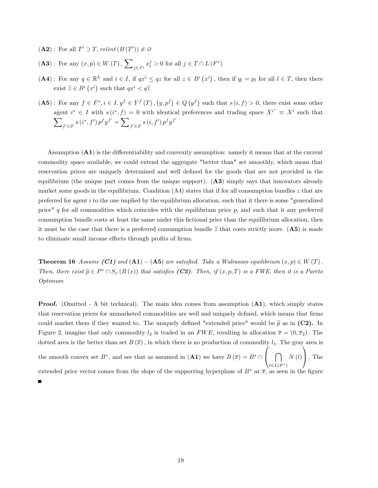$(A2)$ : For all  $T' \supset T$ , relint  $(B(T')) \neq \emptyset$ 

 $(A3)$ : For any  $(x, p) \in W(T)$ ,  $\sum$  $j \in J^*$   $x_l^j > 0$  for all  $j \in T \cap L(F^*)$ 

- $(A4)$ : For any  $q \in \mathbb{R}^L$  and  $i \in I$ , if  $qx^i \leq qz$  for all  $z \in B^i(x^i)$ , then if  $q_l = p_l$  for all  $l \in T$ , then there exist  $\widetilde{z} \in B^i(x^i)$  such that  $qx^i < q\widetilde{z}$
- $(A5)$ : For any  $f \in F^*, i \in I, y^f \in Y^f(T), (y, p^f) \in Q(y^f)$  such that  $s(i, f) > 0$ , there exist some other agent  $i^* \in I$  with  $s(i^*, f) = 0$  with identical preferences and trading space  $X^{i^*} \equiv X^i$  such that  $\overline{\phantom{0}}$  $f' \in F$ <sup>s</sup> (i<sup>\*</sup>, f')  $p^f y^{f'} = \sum$  $f' \in F \supseteq g(i, f') p^f y^{f'}$

Assumption  $(A1)$  is the differentiability and convexity assumption: namely it means that at the current commodity space available, we could extend the aggregate "better than" set smoothly, which mean that reservation prices are uniquely determined and well defined for the goods that are not provided in the equilibrium (the unique part comes from the unique support).  $(A3)$  simply says that innovators already market some goods in the equilibrium. Condition  $(A4)$  states that if for all consumption bundles z that are preferred for agent  $i$  to the one implied by the equilibrium allocation, such that it there is some "generalized price"  $q$  for all commodities which coincides with the equilibrium price  $p$ , and such that it any preferred consumption bundle costs at least the same under this Öctional price than the equilibrium allocation, then it must be the case that there is a preferred consumption bundle  $\tilde{z}$  that costs strictly more. (A5) is made to eliminate small income effects through profits of firms.

**Theorem 16** Assume  $(Cl)$  and  $(A1) - (A5)$  are satisfied. Take a Walrasian equilibrium  $(x, p) \in W(T)$ . Then, there exist  $\widetilde{p} \in P^* \cap S_x (B(x))$  that satisfies (C2). Then, if  $(x, p, T)$  is a FWE, then it is a Pareto Optimum

Proof. (Omitted - A bit technical). The main idea comes from assumption (A1), which simply states that reservation prices for unmarketed commodities are well and uniquely defined, which means that firms could market them if they wanted to. The uniquely defined "extended price" would be  $\tilde{p}$  as in (C2). In Figure 2, imagine that only commodity  $l_2$  is traded in an FWE, resulting in allocation  $\bar{x} = (0, \bar{x}_2)$ . The dotted area is the better than set  $B(\bar{x})$ , in which there is no production of commodity  $l_1$ . The gray area is the smooth convex set  $B^*$ , and see that as assumed in  $(A1)$  we have  $B(\overline{x}) = B^* \cap$  $\sqrt{ }$  $\bigcap$  $l\in L(F^*)$  $N\left(l\right)$ 1  $\vert$  . The extended price vector comes from the slope of the supporting hyperplane of  $B^*$  at  $\overline{x}$ , as seen in the figure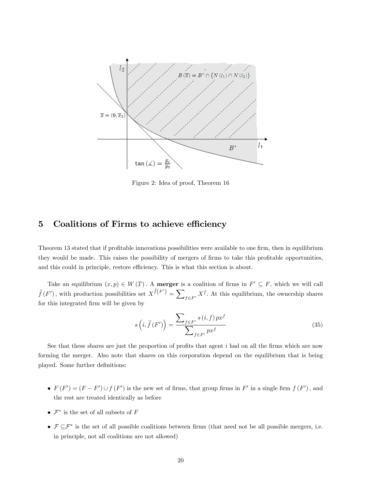

Figure 2: Idea of proof, Theorem 16

## 5 Coalitions of Firms to achieve efficiency

Theorem 13 stated that if profitable innovations possibilities were available to one firm, then in equilibrium they would be made. This raises the possibility of mergers of firms to take this profitable opportunities, and this could in principle, restore efficiency. This is what this section is about.

Take an equilibrium  $(x, p) \in W(T)$ . A merger is a coalition of firms in  $F' \subseteq F$ , which we will call  $\widetilde{f}(F')$ , with production possibilities set  $X^{\widetilde{f}(F')} = \sum_{f \in F'} X^f$ . At this equilibrium, the ownership shares for this integrated firm will be given by

$$
s\left(i,\widetilde{f}\left(F'\right)\right) = \frac{\sum_{f \in F'} s\left(i,f\right) p x^f}{\sum_{f \in F'} p x^f}
$$
\n
$$
(35)
$$

See that these shares are just the proportion of profits that agent  $i$  had on all the firms which are now forming the merger. Also note that shares on this corporation depend on the equilibrium that is being played. Some further definitions:

- $F(F') = (F F') \cup f(F')$  is the new set of firms, that group firms in  $F'$  in a single firm  $f(F')$ , and the rest are treated identically as before
- $\mathcal{F}^*$  is the set of all subsets of F
- $\mathcal{F} \subseteq \mathcal{F}^*$  is the set of all possible coalitions between firms (that need not be all possible mergers, i.e. in principle, not all coalitions are not allowed)